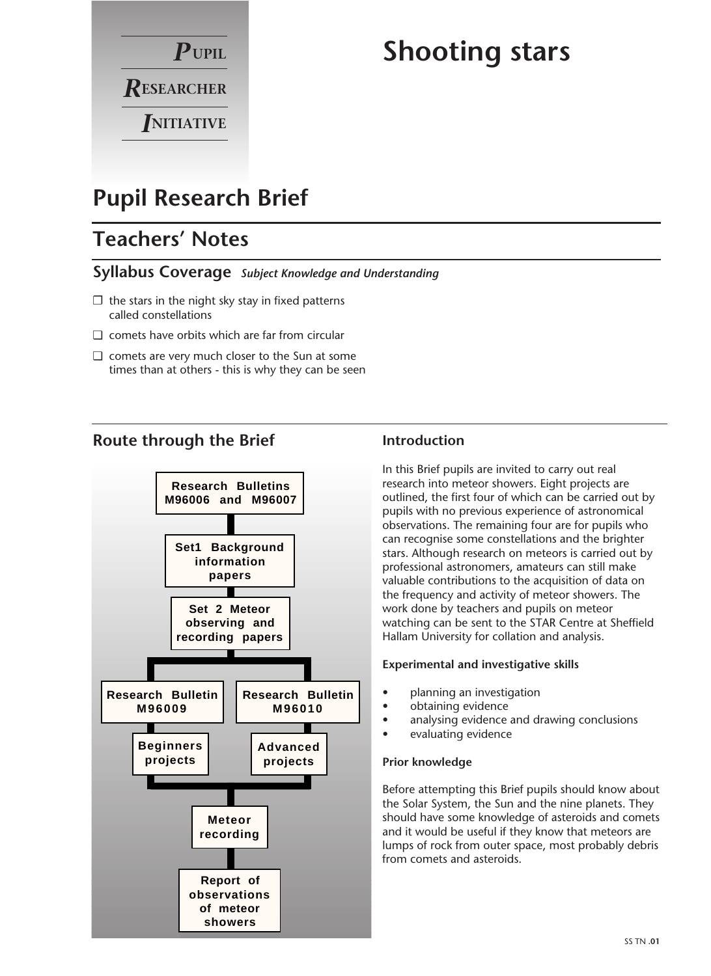

# **Shooting stars**

## **Pupil Research Brief**

## **Teachers' Notes**

#### **Syllabus Coverage** *Subject Knowledge and Understanding*

- $\square$  the stars in the night sky stay in fixed patterns called constellations
- ❏ comets have orbits which are far from circular
- ❏ comets are very much closer to the Sun at some times than at others - this is why they can be seen

#### **Route through the Brief**



#### **Introduction**

In this Brief pupils are invited to carry out real research into meteor showers. Eight projects are outlined, the first four of which can be carried out by pupils with no previous experience of astronomical observations. The remaining four are for pupils who can recognise some constellations and the brighter stars. Although research on meteors is carried out by professional astronomers, amateurs can still make valuable contributions to the acquisition of data on the frequency and activity of meteor showers. The work done by teachers and pupils on meteor watching can be sent to the STAR Centre at Sheffield Hallam University for collation and analysis.

#### **Experimental and investigative skills**

- planning an investigation
- obtaining evidence
- analysing evidence and drawing conclusions
- evaluating evidence

#### **Prior knowledge**

Before attempting this Brief pupils should know about the Solar System, the Sun and the nine planets. They should have some knowledge of asteroids and comets and it would be useful if they know that meteors are lumps of rock from outer space, most probably debris from comets and asteroids.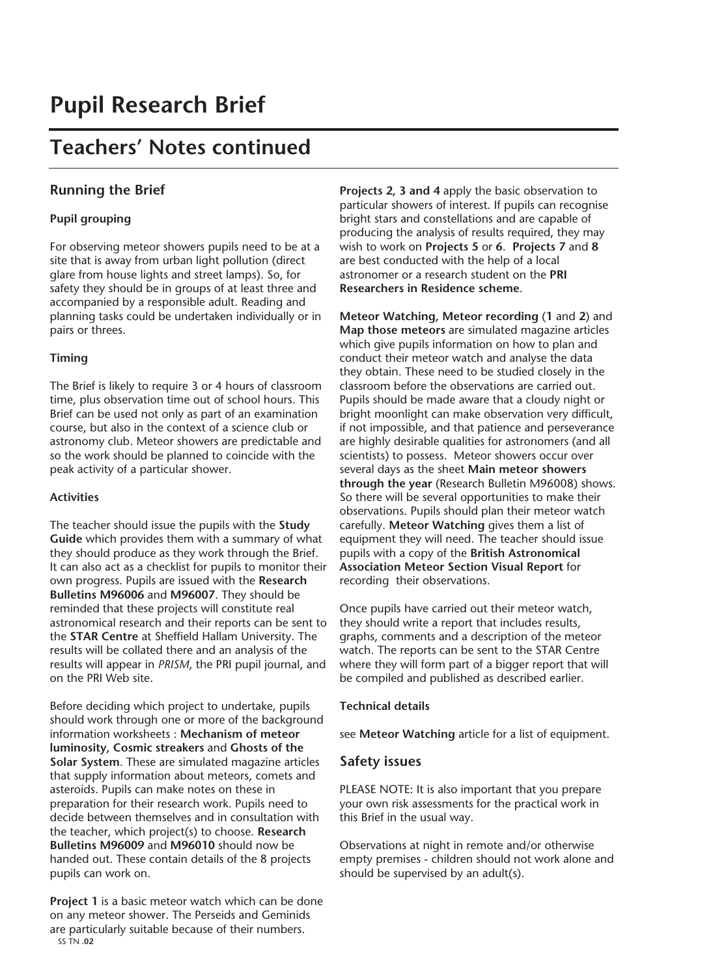## **Teachers' Notes continued**

#### **Running the Brief**

#### **Pupil grouping**

For observing meteor showers pupils need to be at a site that is away from urban light pollution (direct glare from house lights and street lamps). So, for safety they should be in groups of at least three and accompanied by a responsible adult. Reading and planning tasks could be undertaken individually or in pairs or threes.

#### **Timing**

The Brief is likely to require 3 or 4 hours of classroom time, plus observation time out of school hours. This Brief can be used not only as part of an examination course, but also in the context of a science club or astronomy club. Meteor showers are predictable and so the work should be planned to coincide with the peak activity of a particular shower.

#### **Activities**

The teacher should issue the pupils with the **Study Guide** which provides them with a summary of what they should produce as they work through the Brief. It can also act as a checklist for pupils to monitor their own progress. Pupils are issued with the **Research Bulletins M96006** and **M96007**. They should be reminded that these projects will constitute real astronomical research and their reports can be sent to the **STAR Centre** at Sheffield Hallam University. The results will be collated there and an analysis of the results will appear in *PRISM*, the PRI pupil journal, and on the PRI Web site.

Before deciding which project to undertake, pupils should work through one or more of the background information worksheets : **Mechanism of meteor luminosity, Cosmic streakers** and **Ghosts of the Solar System**. These are simulated magazine articles that supply information about meteors, comets and asteroids. Pupils can make notes on these in preparation for their research work. Pupils need to decide between themselves and in consultation with the teacher, which project(s) to choose. **Research Bulletins M96009** and **M96010** should now be handed out. These contain details of the 8 projects pupils can work on.

**Project 1** is a basic meteor watch which can be done on any meteor shower. The Perseids and Geminids are particularly suitable because of their numbers. SS TN **.02**

**Projects 2, 3 and 4** apply the basic observation to particular showers of interest. If pupils can recognise bright stars and constellations and are capable of producing the analysis of results required, they may wish to work on **Projects 5** or **6**. **Projects 7** and **8** are best conducted with the help of a local astronomer or a research student on the **PRI Researchers in Residence scheme**.

**Meteor Watching, Meteor recording** (**1** and **2**) and **Map those meteors** are simulated magazine articles which give pupils information on how to plan and conduct their meteor watch and analyse the data they obtain. These need to be studied closely in the classroom before the observations are carried out. Pupils should be made aware that a cloudy night or bright moonlight can make observation very difficult, if not impossible, and that patience and perseverance are highly desirable qualities for astronomers (and all scientists) to possess. Meteor showers occur over several days as the sheet **Main meteor showers through the year** (Research Bulletin M96008) shows. So there will be several opportunities to make their observations. Pupils should plan their meteor watch carefully. **Meteor Watching** gives them a list of equipment they will need. The teacher should issue pupils with a copy of the **British Astronomical Association Meteor Section Visual Report** for recording their observations.

Once pupils have carried out their meteor watch, they should write a report that includes results, graphs, comments and a description of the meteor watch. The reports can be sent to the STAR Centre where they will form part of a bigger report that will be compiled and published as described earlier.

**Technical details**

see **Meteor Watching** article for a list of equipment.

#### **Safety issues**

PLEASE NOTE: It is also important that you prepare your own risk assessments for the practical work in this Brief in the usual way.

Observations at night in remote and/or otherwise empty premises - children should not work alone and should be supervised by an adult(s).